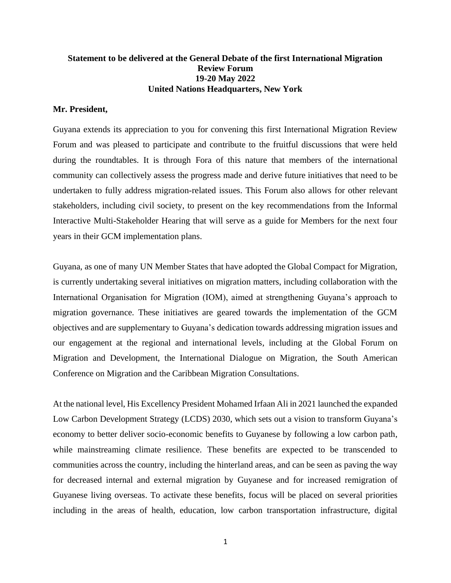## **Statement to be delivered at the General Debate of the first International Migration Review Forum 19-20 May 2022 United Nations Headquarters, New York**

## **Mr. President,**

Guyana extends its appreciation to you for convening this first International Migration Review Forum and was pleased to participate and contribute to the fruitful discussions that were held during the roundtables. It is through Fora of this nature that members of the international community can collectively assess the progress made and derive future initiatives that need to be undertaken to fully address migration-related issues. This Forum also allows for other relevant stakeholders, including civil society, to present on the key recommendations from the Informal Interactive Multi-Stakeholder Hearing that will serve as a guide for Members for the next four years in their GCM implementation plans.

Guyana, as one of many UN Member States that have adopted the Global Compact for Migration, is currently undertaking several initiatives on migration matters, including collaboration with the International Organisation for Migration (IOM), aimed at strengthening Guyana's approach to migration governance. These initiatives are geared towards the implementation of the GCM objectives and are supplementary to Guyana's dedication towards addressing migration issues and our engagement at the regional and international levels, including at the Global Forum on Migration and Development, the International Dialogue on Migration, the South American Conference on Migration and the Caribbean Migration Consultations.

At the national level, His Excellency President Mohamed Irfaan Ali in 2021 launched the expanded Low Carbon Development Strategy (LCDS) 2030, which sets out a vision to transform Guyana's economy to better deliver socio-economic benefits to Guyanese by following a low carbon path, while mainstreaming climate resilience. These benefits are expected to be transcended to communities across the country, including the hinterland areas, and can be seen as paving the way for decreased internal and external migration by Guyanese and for increased remigration of Guyanese living overseas. To activate these benefits, focus will be placed on several priorities including in the areas of health, education, low carbon transportation infrastructure, digital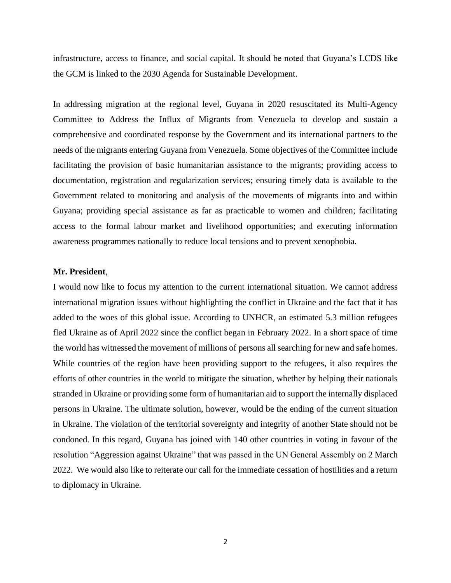infrastructure, access to finance, and social capital. It should be noted that Guyana's LCDS like the GCM is linked to the 2030 Agenda for Sustainable Development.

In addressing migration at the regional level, Guyana in 2020 resuscitated its Multi-Agency Committee to Address the Influx of Migrants from Venezuela to develop and sustain a comprehensive and coordinated response by the Government and its international partners to the needs of the migrants entering Guyana from Venezuela. Some objectives of the Committee include facilitating the provision of basic humanitarian assistance to the migrants; providing access to documentation, registration and regularization services; ensuring timely data is available to the Government related to monitoring and analysis of the movements of migrants into and within Guyana; providing special assistance as far as practicable to women and children; facilitating access to the formal labour market and livelihood opportunities; and executing information awareness programmes nationally to reduce local tensions and to prevent xenophobia.

## **Mr. President**,

I would now like to focus my attention to the current international situation. We cannot address international migration issues without highlighting the conflict in Ukraine and the fact that it has added to the woes of this global issue. According to UNHCR, an estimated 5.3 million refugees fled Ukraine as of April 2022 since the conflict began in February 2022. In a short space of time the world has witnessed the movement of millions of persons all searching for new and safe homes. While countries of the region have been providing support to the refugees, it also requires the efforts of other countries in the world to mitigate the situation, whether by helping their nationals stranded in Ukraine or providing some form of humanitarian aid to support the internally displaced persons in Ukraine. The ultimate solution, however, would be the ending of the current situation in Ukraine. The violation of the territorial sovereignty and integrity of another State should not be condoned. In this regard, Guyana has joined with 140 other countries in voting in favour of the resolution "Aggression against Ukraine" that was passed in the UN General Assembly on 2 March 2022. We would also like to reiterate our call for the immediate cessation of hostilities and a return to diplomacy in Ukraine.